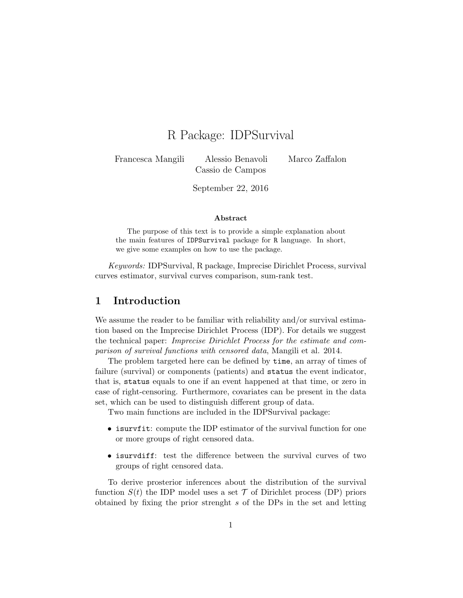# R Package: IDPSurvival

Francesca Mangili Alessio Benavoli Marco Zaffalon Cassio de Campos

September 22, 2016

#### Abstract

The purpose of this text is to provide a simple explanation about the main features of IDPSurvival package for R language. In short, we give some examples on how to use the package.

Keywords: IDPSurvival, R package, Imprecise Dirichlet Process, survival curves estimator, survival curves comparison, sum-rank test.

#### 1 Introduction

We assume the reader to be familiar with reliability and/or survival estimation based on the Imprecise Dirichlet Process (IDP). For details we suggest the technical paper: Imprecise Dirichlet Process for the estimate and comparison of survival functions with censored data, Mangili et al. 2014.

The problem targeted here can be defined by time, an array of times of failure (survival) or components (patients) and status the event indicator, that is, status equals to one if an event happened at that time, or zero in case of right-censoring. Furthermore, covariates can be present in the data set, which can be used to distinguish different group of data.

Two main functions are included in the IDPSurvival package:

- isurvist: compute the IDP estimator of the survival function for one or more groups of right censored data.
- isurvdiff: test the difference between the survival curves of two groups of right censored data.

To derive prosterior inferences about the distribution of the survival function  $S(t)$  the IDP model uses a set  $\mathcal T$  of Dirichlet process (DP) priors obtained by fixing the prior strenght s of the DPs in the set and letting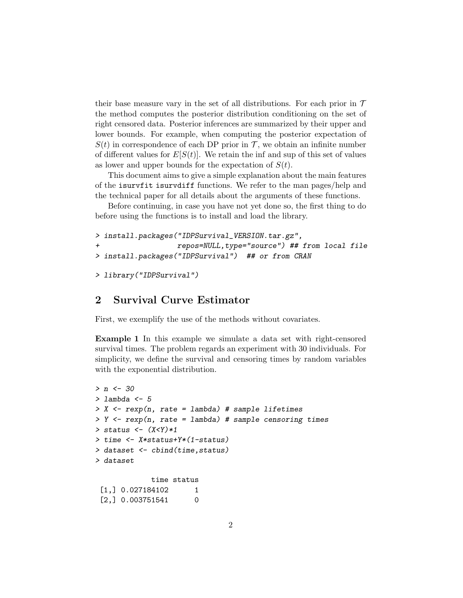their base measure vary in the set of all distributions. For each prior in  $\mathcal T$ the method computes the posterior distribution conditioning on the set of right censored data. Posterior inferences are summarized by their upper and lower bounds. For example, when computing the posterior expectation of  $S(t)$  in correspondence of each DP prior in T, we obtain an infinite number of different values for  $E[S(t)]$ . We retain the inf and sup of this set of values as lower and upper bounds for the expectation of  $S(t)$ .

This document aims to give a simple explanation about the main features of the isurvfit isurvdiff functions. We refer to the man pages/help and the technical paper for all details about the arguments of these functions.

Before continuing, in case you have not yet done so, the first thing to do before using the functions is to install and load the library.

```
> install.packages("IDPSurvival_VERSION.tar.gz",
+ repos=NULL,type="source") ## from local file
> install.packages("IDPSurvival") ## or from CRAN
```

```
> library("IDPSurvival")
```
### 2 Survival Curve Estimator

First, we exemplify the use of the methods without covariates.

Example 1 In this example we simulate a data set with right-censored survival times. The problem regards an experiment with 30 individuals. For simplicity, we define the survival and censoring times by random variables with the exponential distribution.

```
> n < -30> lambda <-5> X \leq r \exp(n, \text{rate} = \text{lambda}) # sample lifetimes
> Y \leq rexp(n, rate = lambda) # sample censoring times
> status \leftarrow (X<Y)*1> time <- X*status+Y*(1-status)
> dataset <- cbind(time,status)
> dataset
              time status
 [1,] 0.027184102 1
 [2,] 0.003751541 0
```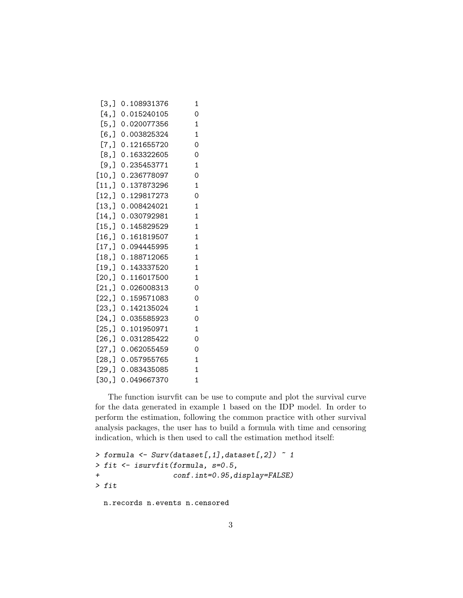| [3,]     | 0.108931376 | 1            |
|----------|-------------|--------------|
| [4,]     | 0.015240105 | 0            |
| [5,]     | 0.020077356 | 1            |
| [6,      | 0.003825324 | 1            |
| [7,]     | 0.121655720 | 0            |
| [8,]     | 0.163322605 | 0            |
| [9,]     | 0.235453771 | 1            |
| [10,     | 0.236778097 | $\Omega$     |
| $[11,$   | 0.137873296 | 1            |
| [12,]    | 0.129817273 | 0            |
| [13,     | 0.008424021 | 1            |
| [14,     | 0.030792981 | 1            |
| [15,]    | 0.145829529 | 1            |
| [16,]    | 0.161819507 | 1            |
| [17,]    | 0.094445995 | 1            |
| [18,]    | 0.188712065 | 1            |
| [19,     | 0.143337520 | $\mathbf{1}$ |
| $[20,$ ] | 0.116017500 | 1            |
| [21,]    | 0.026008313 | 0            |
| [22,]    | 0.159571083 | 0            |
| [23,]    | 0.142135024 | 1            |
| [24,]    | 0.035585923 | 0            |
| [25,]    | 0.101950971 | 1            |
| [26, ]   | 0.031285422 | 0            |
| [27,]    | 0.062055459 | 0            |
| [28,]    | 0.057955765 | 1            |
| [29,]    | 0.083435085 | 1            |
| [30,]    | 0.049667370 | 1            |

The function isurvfit can be use to compute and plot the survival curve for the data generated in example 1 based on the IDP model. In order to perform the estimation, following the common practice with other survival analysis packages, the user has to build a formula with time and censoring indication, which is then used to call the estimation method itself:

```
> formula \leftarrow Surv(dataset[,1],dataset[,2]) \sim 1
> fit <- isurvfit(formula, s=0.5,
+ conf.int=0.95,display=FALSE)
> fit
```
n.records n.events n.censored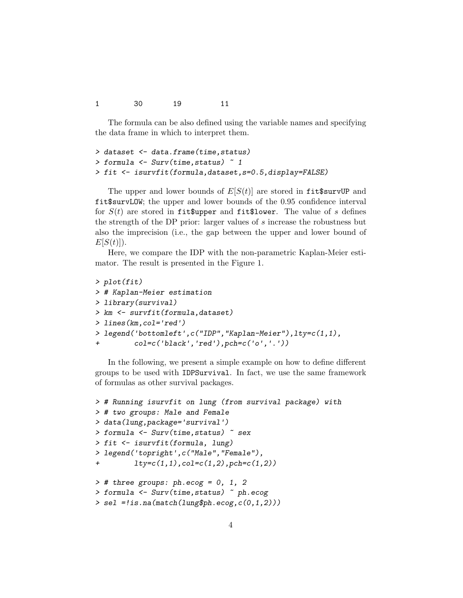1 30 19 11

The formula can be also defined using the variable names and specifying the data frame in which to interpret them.

```
> dataset <- data.frame(time,status)
> formula <- Surv(time,status) ~ 1
> fit <- isurvfit(formula,dataset,s=0.5,display=FALSE)
```
The upper and lower bounds of  $E[S(t)]$  are stored in fit\$survUP and fit\$survLOW; the upper and lower bounds of the 0.95 confidence interval for  $S(t)$  are stored in fit\$upper and fit\$lower. The value of s defines the strength of the DP prior: larger values of s increase the robustness but also the imprecision (i.e., the gap between the upper and lower bound of  $E[S(t)]$ ).

Here, we compare the IDP with the non-parametric Kaplan-Meier estimator. The result is presented in the Figure 1.

```
> plot(fit)
> # Kaplan-Meier estimation
> library(survival)
> km <- survfit(formula,dataset)
> lines(km,col='red')
> legend('bottomleft',c("IDP","Kaplan-Meier"),lty=c(1,1),
+ col=c('black','red'),pch=c('o','.'))
```
In the following, we present a simple example on how to define different groups to be used with IDPSurvival. In fact, we use the same framework of formulas as other survival packages.

```
> # Running isurvfit on lung (from survival package) with
> # two groups: Male and Female
> data(lung,package='survival')
> formula <- Surv(time,status) ~ sex
> fit <- isurvfit(formula, lung)
> legend('topright',c("Male","Female"),
+ lty=c(1,1),col=c(1,2),pch=c(1,2))
> # three groups: ph.ecog = 0, 1, 2
> formula <- Surv(time,status) ~ ph.ecog
> sel =!is.na(match(lung$ph.ecog,c(0,1,2)))
```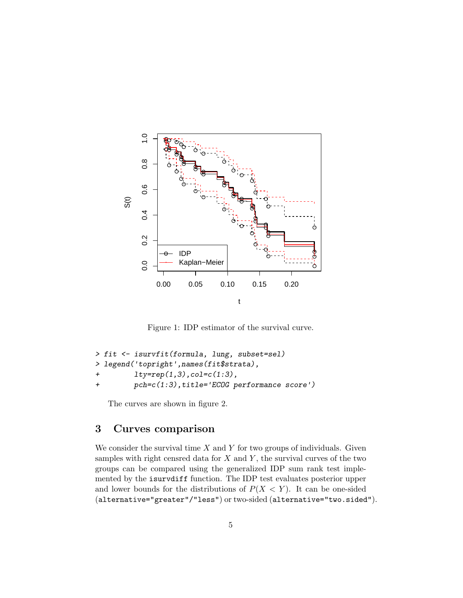

Figure 1: IDP estimator of the survival curve.

```
> fit <- isurvfit(formula, lung, subset=sel)
> legend('topright',names(fit$strata),
+ lty=rep(1,3),col=c(1:3),
+ pch=c(1:3),title='ECOG performance score')
```
The curves are shown in figure 2.

## 3 Curves comparison

We consider the survival time  $X$  and  $Y$  for two groups of individuals. Given samples with right censred data for  $X$  and  $Y$ , the survival curves of the two groups can be compared using the generalized IDP sum rank test implemented by the isurvdiff function. The IDP test evaluates posterior upper and lower bounds for the distributions of  $P(X \le Y)$ . It can be one-sided (alternative="greater"/"less") or two-sided (alternative="two.sided").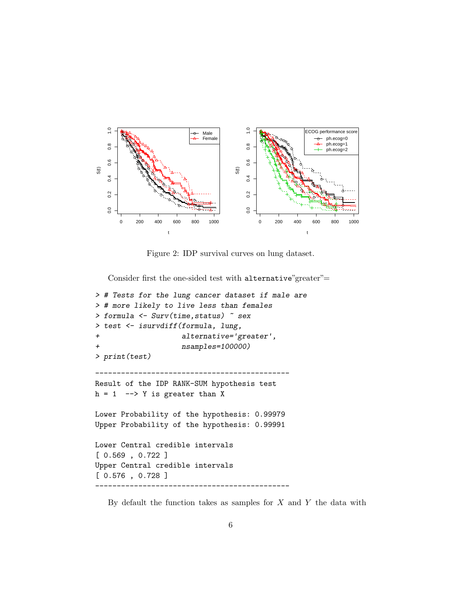

Figure 2: IDP survival curves on lung dataset.

Consider first the one-sided test with alternative"greater"=

```
> # Tests for the lung cancer dataset if male are
> # more likely to live less than females
> formula <- Surv(time,status) ~ sex
> test <- isurvdiff(formula, lung,
+ alternative='greater',
                   nsamples=100000)
> print(test)
---------------------------------------------
Result of the IDP RANK-SUM hypothesis test
h = 1 --> Y is greater than X
Lower Probability of the hypothesis: 0.99979
Upper Probability of the hypothesis: 0.99991
Lower Central credible intervals
[ 0.569 , 0.722 ]
Upper Central credible intervals
[ 0.576 , 0.728 ]
---------------------------------------------
```
By default the function takes as samples for  $X$  and  $Y$  the data with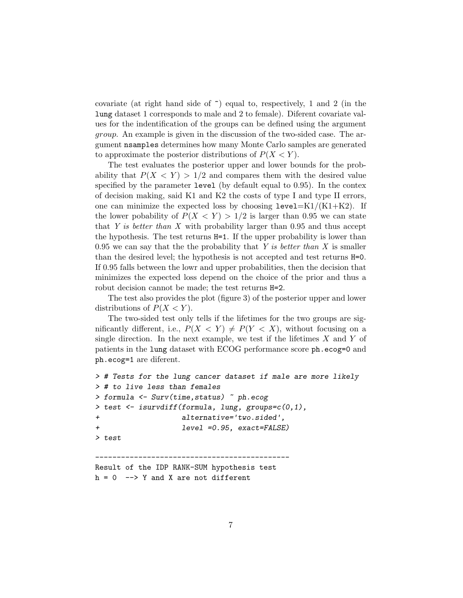covariate (at right hand side of ~) equal to, respectively, 1 and 2 (in the lung dataset 1 corresponds to male and 2 to female). Diferent covariate values for the indentification of the groups can be defined using the argument group. An example is given in the discussion of the two-sided case. The argument nsamples determines how many Monte Carlo samples are generated to approximate the posterior distributions of  $P(X \le Y)$ .

The test evaluates the posterior upper and lower bounds for the probability that  $P(X \leq Y) > 1/2$  and compares them with the desired value specified by the parameter level (by default equal to 0.95). In the contex of decision making, said K1 and K2 the costs of type I and type II errors, one can minimize the expected loss by choosing  $level=K1/(K1+K2)$ . If the lower pobability of  $P(X \le Y) > 1/2$  is larger than 0.95 we can state that Y is better than X with probability larger than  $0.95$  and thus accept the hypothesis. The test returns H=1. If the upper probability is lower than 0.95 we can say that the the probability that  $Y$  is better than  $X$  is smaller than the desired level; the hypothesis is not accepted and test returns H=0. If 0.95 falls between the lowr and upper probabilities, then the decision that minimizes the expected loss depend on the choice of the prior and thus a robut decision cannot be made; the test returns H=2.

The test also provides the plot (figure 3) of the posterior upper and lower distributions of  $P(X \leq Y)$ .

The two-sided test only tells if the lifetimes for the two groups are significantly different, i.e.,  $P(X \leq Y) \neq P(Y \leq X)$ , without focusing on a single direction. In the next example, we test if the lifetimes  $X$  and  $Y$  of patients in the lung dataset with ECOG performance score ph.ecog=0 and ph.ecog=1 are diferent.

```
> # Tests for the lung cancer dataset if male are more likely
> # to live less than females
> formula <- Surv(time,status) ~ ph.ecog
> test <- isurvdiff(formula, lung, groups=c(0,1),
+ alternative='two.sided',
+ level =0.95, exact=FALSE)
> test
---------------------------------------------
Result of the IDP RANK-SUM hypothesis test
h = 0 --> Y and X are not different
```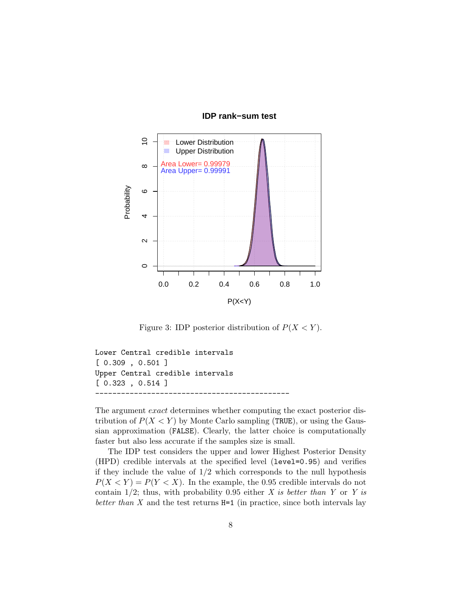

#### **IDP rank−sum test**

Figure 3: IDP posterior distribution of  $P(X \le Y)$ .

```
Lower Central credible intervals
[ 0.309 , 0.501 ]
Upper Central credible intervals
[ 0.323 , 0.514 ]
---------------------------------------------
```
The argument exact determines whether computing the exact posterior distribution of  $P(X \le Y)$  by Monte Carlo sampling (TRUE), or using the Gaussian approximation (FALSE). Clearly, the latter choice is computationally faster but also less accurate if the samples size is small.

The IDP test considers the upper and lower Highest Posterior Density (HPD) credible intervals at the specified level (level=0.95) and verifies if they include the value of  $1/2$  which corresponds to the null hypothesis  $P(X \le Y) = P(Y \le X)$ . In the example, the 0.95 credible intervals do not contain  $1/2$ ; thus, with probability 0.95 either X is better than Y or Y is better than  $X$  and the test returns  $H=1$  (in practice, since both intervals lay